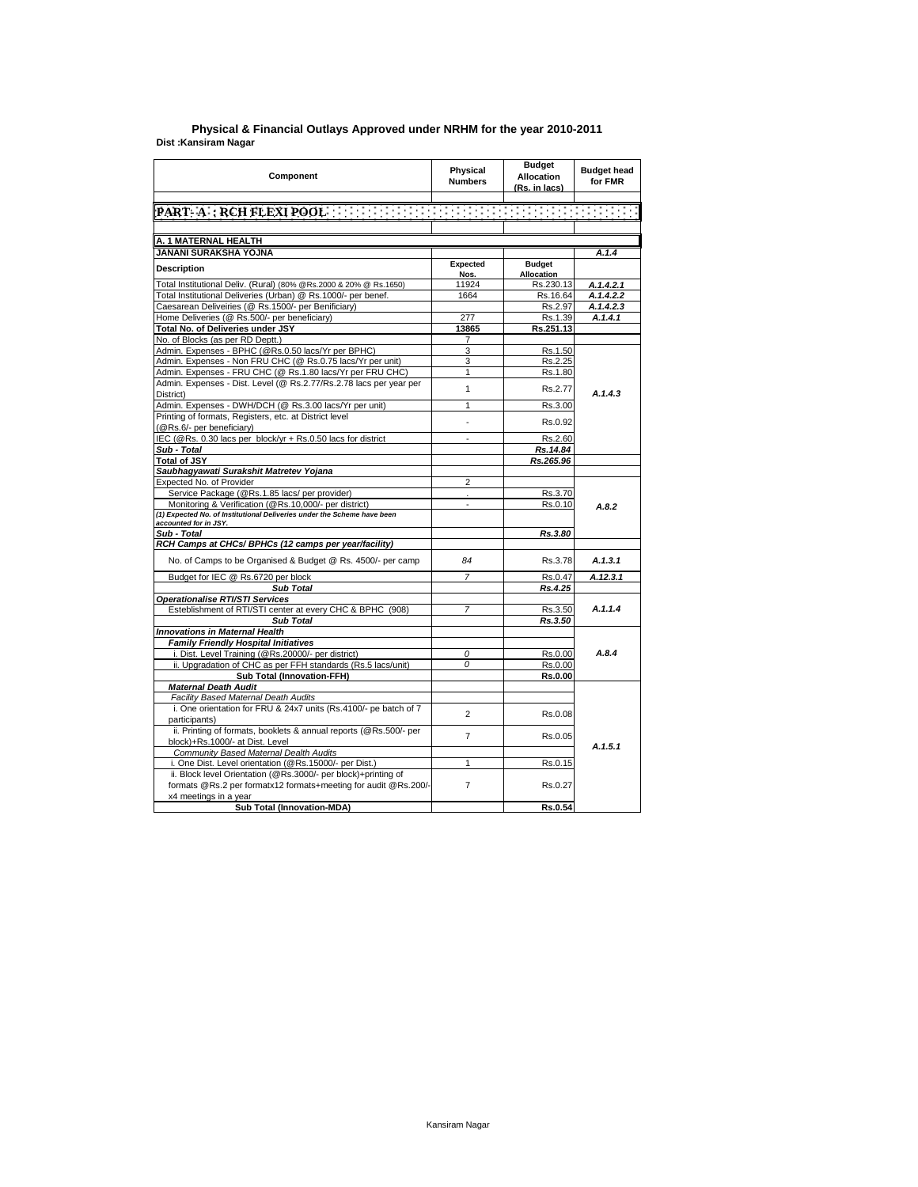## **Dist :Kansiram Nagar District : Agra Physical & Financial Outlays Approved under NRHM for the year 2010-2011**

| Component                                                                                                                        | Physical<br><b>Numbers</b> | <b>Budget</b><br><b>Allocation</b><br>(Rs. in lacs) | <b>Budget head</b><br>for FMR |
|----------------------------------------------------------------------------------------------------------------------------------|----------------------------|-----------------------------------------------------|-------------------------------|
|                                                                                                                                  |                            |                                                     |                               |
|                                                                                                                                  |                            |                                                     |                               |
|                                                                                                                                  |                            |                                                     |                               |
| <u>A. 1 MATERNAL HEALTH</u>                                                                                                      |                            |                                                     |                               |
| JANANI SURAKSHA YOJNA                                                                                                            |                            |                                                     | A.1.4                         |
| <b>Description</b>                                                                                                               | Expected                   | <b>Budget</b>                                       |                               |
|                                                                                                                                  | Nos.                       | <b>Allocation</b>                                   |                               |
| Total Institutional Deliv. (Rural) (80% @Rs.2000 & 20% @ Rs.1650)                                                                | 11924                      | Rs.230.13                                           | A.1.4.2.1                     |
| Total Institutional Deliveries (Urban) @ Rs.1000/- per benef.<br>Caesarean Deliveiries (@ Rs.1500/- per Benificiary)             | 1664                       | Rs.16.64<br>Rs.2.97                                 | A.1.4.2.2<br>A.1.4.2.3        |
| Home Deliveries (@ Rs.500/- per beneficiary)                                                                                     | 277                        | Rs.1.39                                             | A.1.4.1                       |
| Total No. of Deliveries under JSY                                                                                                | 13865                      | Rs.251.13                                           |                               |
| No. of Blocks (as per RD Deptt.)                                                                                                 | 7                          |                                                     |                               |
| Admin. Expenses - BPHC (@Rs.0.50 lacs/Yr per BPHC)                                                                               | 3                          | Rs.1.50                                             |                               |
| Admin. Expenses - Non FRU CHC (@ Rs.0.75 lacs/Yr per unit)                                                                       | 3                          | Rs.2.25                                             |                               |
| Admin. Expenses - FRU CHC (@ Rs.1.80 lacs/Yr per FRU CHC)                                                                        | 1                          | Rs.1.80                                             |                               |
| Admin. Expenses - Dist. Level (@ Rs.2.77/Rs.2.78 lacs per year per                                                               | $\mathbf{1}$               | Rs.2.77                                             |                               |
| District)                                                                                                                        |                            |                                                     | A.1.4.3                       |
| Admin. Expenses - DWH/DCH (@ Rs.3.00 lacs/Yr per unit)                                                                           | 1                          | Rs.3.00                                             |                               |
| Printing of formats, Registers, etc. at District level<br>(@Rs.6/- per beneficiary)                                              | ÷.                         | Rs.0.92                                             |                               |
| IEC (@Rs. 0.30 lacs per block/yr + Rs.0.50 lacs for district                                                                     |                            | Rs.2.60                                             |                               |
| Sub - Total                                                                                                                      |                            | Rs.14.84                                            |                               |
| <b>Total of JSY</b>                                                                                                              |                            | Rs.265.96                                           |                               |
| Saubhagyawati Surakshit Matretev Yojana                                                                                          |                            |                                                     |                               |
| Expected No. of Provider                                                                                                         | $\overline{2}$             |                                                     |                               |
| Service Package (@Rs.1.85 lacs/ per provider)                                                                                    |                            | Rs.3.70                                             |                               |
| Monitoring & Verification (@Rs.10,000/- per district)<br>(1) Expected No. of Institutional Deliveries under the Scheme have been | ÷,                         | Rs.0.10                                             | A.8.2                         |
| accounted for in JSY.                                                                                                            |                            |                                                     |                               |
| Sub - Total                                                                                                                      |                            | Rs.3.80                                             |                               |
| RCH Camps at CHCs/ BPHCs (12 camps per year/facility)                                                                            |                            |                                                     |                               |
| No. of Camps to be Organised & Budget @ Rs. 4500/- per camp                                                                      | 84                         | Rs.3.78                                             | A.1.3.1                       |
| Budget for IEC @ Rs.6720 per block                                                                                               | $\overline{7}$             | Rs.0.47                                             | A.12.3.1                      |
| <b>Sub Total</b>                                                                                                                 |                            | Rs.4.25                                             |                               |
| <b>Operationalise RTI/STI Services</b>                                                                                           |                            |                                                     |                               |
| Esteblishment of RTI/STI center at every CHC & BPHC (908)                                                                        | $\overline{7}$             | Rs.3.50                                             | A.1.1.4                       |
| Sub Total                                                                                                                        |                            | Rs.3.50                                             |                               |
| Innovations in Maternal Health                                                                                                   |                            |                                                     |                               |
| Family Friendly Hospital Initiatives                                                                                             |                            |                                                     |                               |
| i. Dist. Level Training (@Rs.20000/- per district)                                                                               | 0                          | Rs.0.00                                             | A.8.4                         |
| ii. Upgradation of CHC as per FFH standards (Rs.5 lacs/unit)                                                                     | 0                          | Rs.0.00                                             |                               |
| <b>Sub Total (Innovation-FFH)</b><br><b>Maternal Death Audit</b>                                                                 |                            | <b>Rs.0.00</b>                                      |                               |
| Facility Based Maternal Death Audits                                                                                             |                            |                                                     |                               |
| i. One orientation for FRU & 24x7 units (Rs.4100/- pe batch of 7                                                                 |                            |                                                     |                               |
| participants)                                                                                                                    | $\overline{2}$             | Rs.0.08                                             |                               |
| ii. Printing of formats, booklets & annual reports (@Rs.500/- per                                                                |                            |                                                     |                               |
| block)+Rs.1000/- at Dist. Level                                                                                                  | $\overline{7}$             | Rs.0.05                                             |                               |
| Community Based Maternal Dealth Audits                                                                                           |                            |                                                     | A.1.5.1                       |
| i. One Dist. Level orientation (@Rs.15000/- per Dist.)                                                                           | 1                          | Rs.0.15                                             |                               |
| ii. Block level Orientation (@Rs.3000/- per block)+printing of                                                                   |                            |                                                     |                               |
| formats @Rs.2 per formatx12 formats+meeting for audit @Rs.200/-                                                                  | $\overline{7}$             | Rs.0.27                                             |                               |
| x4 meetings in a year                                                                                                            |                            |                                                     |                               |
| Sub Total (Innovation-MDA)                                                                                                       |                            | Rs.0.54                                             |                               |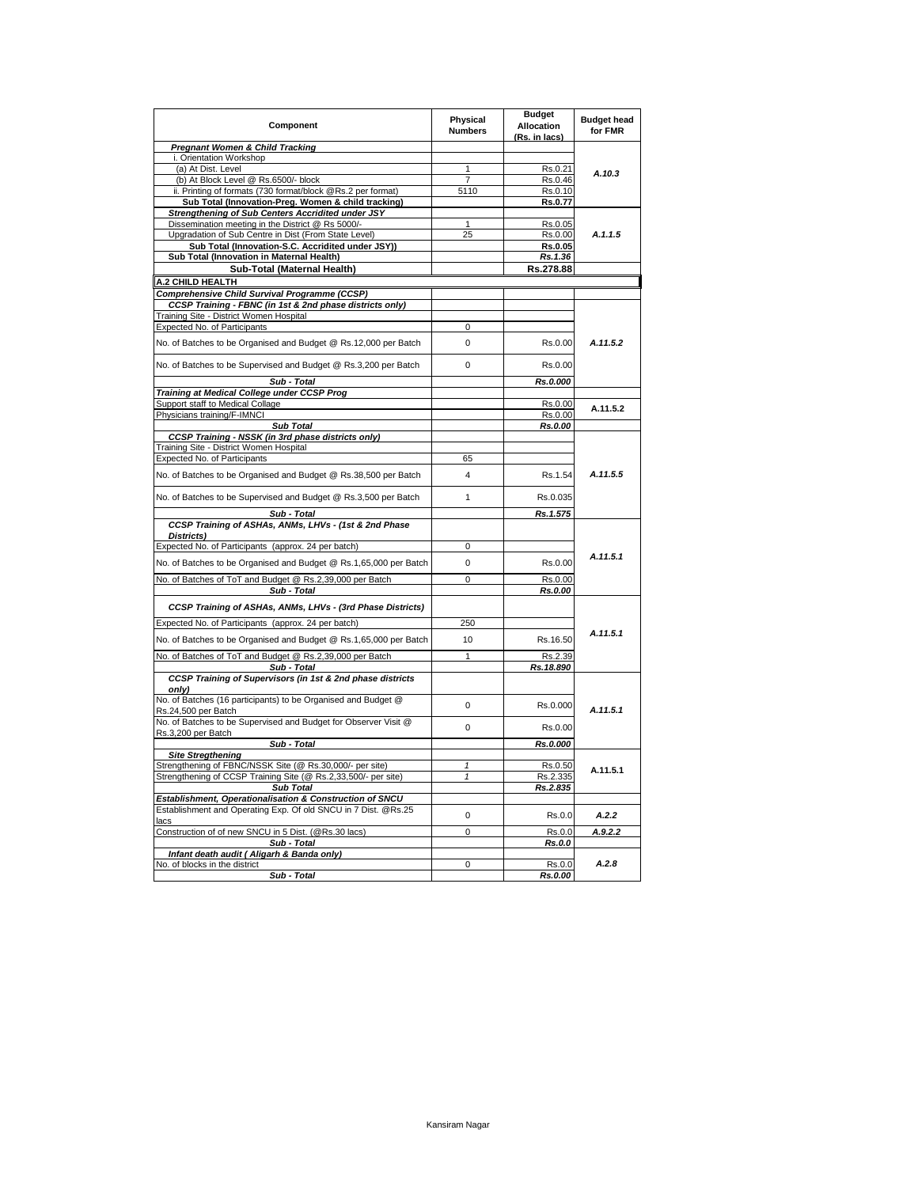| Component                                                                                      | Physical<br><b>Numbers</b> | <b>Budget</b><br><b>Allocation</b><br>(Rs. in lacs) | <b>Budget head</b><br>for FMR |
|------------------------------------------------------------------------------------------------|----------------------------|-----------------------------------------------------|-------------------------------|
| <b>Pregnant Women &amp; Child Tracking</b>                                                     |                            |                                                     |                               |
| i. Orientation Workshop                                                                        |                            |                                                     |                               |
| (a) At Dist. Level                                                                             | 1                          | Rs.0.21                                             | A.10.3                        |
| (b) At Block Level @ Rs.6500/- block                                                           | $\overline{7}$             | Rs.0.46                                             |                               |
| ii. Printing of formats (730 format/block @Rs.2 per format)                                    | 5110                       | Rs.0.10                                             |                               |
| Sub Total (Innovation-Preg. Women & child tracking)                                            |                            | Rs.0.77                                             |                               |
| Strengthening of Sub Centers Accridited under JSY                                              |                            |                                                     |                               |
| Dissemination meeting in the District @ Rs 5000/-                                              | 1                          | Rs.0.05                                             | A.1.1.5                       |
| Upgradation of Sub Centre in Dist (From State Level)                                           | 25                         | Rs.0.00                                             |                               |
| Sub Total (Innovation-S.C. Accridited under JSY))<br>Sub Total (Innovation in Maternal Health) |                            | Rs.0.05<br>Rs. 1.36                                 |                               |
|                                                                                                |                            |                                                     |                               |
| Sub-Total (Maternal Health)                                                                    |                            | Rs.278.88                                           |                               |
| A.2 CHILD HEALTH                                                                               |                            |                                                     |                               |
| Comprehensive Child Survival Programme (CCSP)                                                  |                            |                                                     |                               |
| CCSP Training - FBNC (in 1st & 2nd phase districts only)                                       |                            |                                                     |                               |
| Training Site - District Women Hospital                                                        |                            |                                                     |                               |
| <b>Expected No. of Participants</b>                                                            | 0                          |                                                     |                               |
| No. of Batches to be Organised and Budget @ Rs.12,000 per Batch                                | $\Omega$                   | Rs.0.00                                             | A.11.5.2                      |
| No. of Batches to be Supervised and Budget @ Rs.3,200 per Batch                                | 0                          | Rs.0.00                                             |                               |
| Sub - Total                                                                                    |                            | Rs.0.000                                            |                               |
| Training at Medical College under CCSP Prog                                                    |                            |                                                     |                               |
| Support staff to Medical Collage                                                               |                            | Rs.0.00                                             | A.11.5.2                      |
| Physicians training/F-IMNCI                                                                    |                            | Rs.0.00                                             |                               |
| <b>Sub Total</b>                                                                               |                            | Rs.0.00                                             |                               |
| CCSP Training - NSSK (in 3rd phase districts only)                                             |                            |                                                     |                               |
| Training Site - District Women Hospital                                                        |                            |                                                     |                               |
| Expected No. of Participants                                                                   | 65                         |                                                     |                               |
| No. of Batches to be Organised and Budget @ Rs.38,500 per Batch                                | 4                          | Rs.1.54                                             | A.11.5.5                      |
| No. of Batches to be Supervised and Budget @ Rs.3,500 per Batch                                | 1                          | Rs.0.035                                            |                               |
| Sub - Total                                                                                    |                            | Rs.1.575                                            |                               |
| CCSP Training of ASHAs, ANMs, LHVs - (1st & 2nd Phase<br>Districts)                            |                            |                                                     |                               |
| Expected No. of Participants (approx. 24 per batch)                                            | 0                          |                                                     |                               |
| No. of Batches to be Organised and Budget @ Rs.1,65,000 per Batch                              | 0                          | Rs.0.00                                             | A.11.5.1                      |
| No. of Batches of ToT and Budget @ Rs.2,39,000 per Batch                                       | $\overline{0}$             | Rs.0.00                                             |                               |
| Sub - Total                                                                                    |                            | Rs.0.00                                             |                               |
| CCSP Training of ASHAs, ANMs, LHVs - (3rd Phase Districts)                                     |                            |                                                     |                               |
| Expected No. of Participants (approx. 24 per batch)                                            | 250                        |                                                     |                               |
| No. of Batches to be Organised and Budget @ Rs.1,65,000 per Batch                              | 10                         | Rs.16.50                                            | A.11.5.1                      |
| No. of Batches of ToT and Budget @ Rs.2,39,000 per Batch                                       | 1                          | Rs.2.39                                             |                               |
| Sub - Total                                                                                    |                            | Rs.18.890                                           |                               |
| CCSP Training of Supervisors (in 1st & 2nd phase districts<br>only)                            |                            |                                                     |                               |
| No. of Batches (16 participants) to be Organised and Budget @                                  | $\Omega$                   | Rs.0.000                                            |                               |
| Rs.24,500 per Batch<br>No. of Batches to be Supervised and Budget for Observer Visit @         | 0                          | Rs.0.00                                             | A.11.5.1                      |
| Rs.3,200 per Batch<br>Sub - Total                                                              |                            | Rs.0.000                                            |                               |
| <b>Site Stregthening</b>                                                                       |                            |                                                     |                               |
| Strengthening of FBNC/NSSK Site (@ Rs.30,000/- per site)                                       | 1                          | Rs.0.50                                             |                               |
| Strengthening of CCSP Training Site (@ Rs.2,33,500/- per site)                                 | $\mathbf{1}$               | Rs.2.335                                            | A.11.5.1                      |
| Sub Total                                                                                      |                            | Rs.2.835                                            |                               |
| Establishment, Operationalisation & Construction of SNCU                                       |                            |                                                     |                               |
| Establishment and Operating Exp. Of old SNCU in 7 Dist. @Rs.25<br>lacs                         | 0                          | Rs.0.0                                              | A.2.2                         |
| Construction of of new SNCU in 5 Dist. (@Rs.30 lacs)                                           | 0                          | Rs.0.0                                              | A.9.2.2                       |
| Sub - Total                                                                                    |                            | Rs.0.0                                              |                               |
| Infant death audit ( Aligarh & Banda only)                                                     |                            |                                                     |                               |
| No. of blocks in the district                                                                  | 0                          | Rs.0.0                                              | A.2.8                         |
| Sub - Total                                                                                    |                            | Rs.0.00                                             |                               |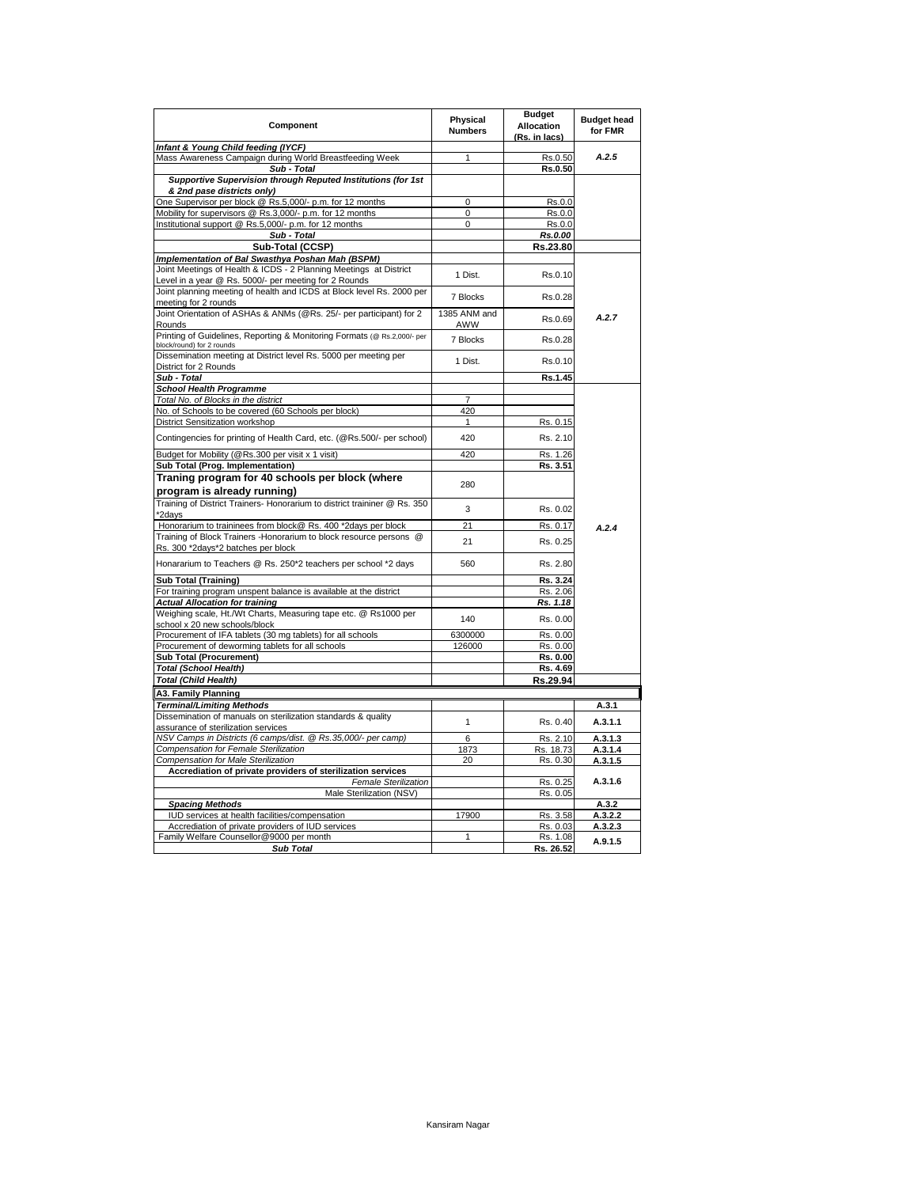| Component                                                                                                         | Physical<br><b>Numbers</b> | <b>Budget</b><br><b>Allocation</b><br>(Rs. in lacs) | <b>Budget head</b><br>for FMR |
|-------------------------------------------------------------------------------------------------------------------|----------------------------|-----------------------------------------------------|-------------------------------|
| Infant & Young Child feeding (IYCF)                                                                               |                            |                                                     |                               |
| Mass Awareness Campaign during World Breastfeeding Week                                                           | $\mathbf{1}$               | Rs.0.50                                             | A.2.5                         |
| Sub - Total                                                                                                       |                            | Rs.0.50                                             |                               |
| Supportive Supervision through Reputed Institutions (for 1st                                                      |                            |                                                     |                               |
| & 2nd pase districts only)                                                                                        |                            |                                                     |                               |
| One Supervisor per block @ Rs.5,000/- p.m. for 12 months                                                          | 0<br>0                     | Rs.0.0<br>Rs.0.0                                    |                               |
| Mobility for supervisors @ Rs.3,000/- p.m. for 12 months<br>Institutional support @ Rs.5,000/- p.m. for 12 months | 0                          | Rs.0.0                                              |                               |
| Sub - Total                                                                                                       |                            | Rs.0.00                                             |                               |
| Sub-Total (CCSP)                                                                                                  |                            | Rs.23.80                                            |                               |
| Implementation of Bal Swasthya Poshan Mah (BSPM)                                                                  |                            |                                                     |                               |
| Joint Meetings of Health & ICDS - 2 Planning Meetings at District                                                 |                            |                                                     |                               |
| Level in a year @ Rs. 5000/- per meeting for 2 Rounds                                                             | 1 Dist.                    | Rs.0.10                                             |                               |
| Joint planning meeting of health and ICDS at Block level Rs. 2000 per                                             |                            |                                                     |                               |
| meeting for 2 rounds                                                                                              | 7 Blocks                   | Rs.0.28                                             |                               |
| Joint Orientation of ASHAs & ANMs (@Rs. 25/- per participant) for 2                                               | 1385 ANM and               |                                                     |                               |
| Rounds                                                                                                            | AWW                        | Rs.0.69                                             | A.2.7                         |
| Printing of Guidelines, Reporting & Monitoring Formats (@ Rs.2,000/- per                                          |                            |                                                     |                               |
| block/round) for 2 rounds                                                                                         | 7 Blocks                   | Rs.0.28                                             |                               |
| Dissemination meeting at District level Rs. 5000 per meeting per                                                  | 1 Dist.                    | Rs.0.10                                             |                               |
| District for 2 Rounds                                                                                             |                            |                                                     |                               |
| Sub - Total                                                                                                       |                            | Rs.1.45                                             |                               |
| <b>School Health Programme</b>                                                                                    |                            |                                                     |                               |
| Total No. of Blocks in the district                                                                               | 7                          |                                                     |                               |
| No. of Schools to be covered (60 Schools per block)                                                               | 420                        |                                                     |                               |
| District Sensitization workshop                                                                                   | 1                          | Rs. 0.15                                            |                               |
| Contingencies for printing of Health Card, etc. (@Rs.500/- per school)                                            | 420                        | Rs. 2.10                                            |                               |
|                                                                                                                   |                            |                                                     |                               |
| Budget for Mobility (@Rs.300 per visit x 1 visit)                                                                 | 420                        | Rs. 1.26                                            |                               |
| Sub Total (Prog. Implementation)                                                                                  |                            | Rs. 3.51                                            |                               |
| Traning program for 40 schools per block (where                                                                   | 280                        |                                                     |                               |
| program is already running)                                                                                       |                            |                                                     |                               |
| Training of District Trainers- Honorarium to district traininer @ Rs. 350                                         | 3                          | Rs. 0.02                                            |                               |
| *2davs                                                                                                            |                            |                                                     |                               |
| Honorarium to traininees from block@ Rs. 400 *2days per block                                                     | 21                         | Rs. 0.17                                            | A.2.4                         |
| Training of Block Trainers - Honorarium to block resource persons @                                               | 21                         | Rs. 0.25                                            |                               |
| Rs. 300 *2days*2 batches per block                                                                                |                            |                                                     |                               |
| Honararium to Teachers @ Rs. 250*2 teachers per school *2 days                                                    | 560                        | Rs. 2.80                                            |                               |
| Sub Total (Training)                                                                                              |                            | Rs. 3.24                                            |                               |
| For training program unspent balance is available at the district                                                 |                            | Rs. 2.06                                            |                               |
| <b>Actual Allocation for training</b>                                                                             |                            | Rs. 1.18                                            |                               |
| Weighing scale, Ht./Wt Charts, Measuring tape etc. @ Rs1000 per                                                   |                            |                                                     |                               |
| school x 20 new schools/block                                                                                     | 140                        | Rs. 0.00                                            |                               |
| Procurement of IFA tablets (30 mg tablets) for all schools                                                        | 6300000                    | Rs. 0.00                                            |                               |
| Procurement of deworming tablets for all schools                                                                  | 126000                     | Rs. 0.00                                            |                               |
| <b>Sub Total (Procurement)</b>                                                                                    |                            | Rs. 0.00                                            |                               |
| <b>Total (School Health)</b>                                                                                      |                            | Rs. 4.69                                            |                               |
| Total (Child Health)                                                                                              |                            | Rs.29.94                                            |                               |
| A3. Family Planning                                                                                               |                            |                                                     |                               |
| <b>Terminal/Limiting Methods</b>                                                                                  |                            |                                                     | A.3.1                         |
| Dissemination of manuals on sterilization standards & quality                                                     |                            |                                                     |                               |
| assurance of sterilization services                                                                               | 1                          | Rs. 0.40                                            | A.3.1.1                       |
| NSV Camps in Districts (6 camps/dist. @ Rs.35,000/- per camp)                                                     | 6                          | Rs. 2.10                                            | A.3.1.3                       |
| Compensation for Female Sterilization                                                                             | 1873                       | Rs. 18.73                                           | A.3.1.4                       |
| Compensation for Male Sterilization                                                                               | 20                         | Rs. 0.30                                            | A.3.1.5                       |
| Accrediation of private providers of sterilization services                                                       |                            |                                                     |                               |
| <b>Female Sterilization</b>                                                                                       |                            | Rs. 0.25                                            | A.3.1.6                       |
| Male Sterilization (NSV)                                                                                          |                            | Rs. 0.05                                            |                               |
| <b>Spacing Methods</b>                                                                                            |                            |                                                     | A.3.2                         |
| IUD services at health facilities/compensation                                                                    | 17900                      | Rs. 3.58                                            | A.3.2.2                       |
| Accrediation of private providers of IUD services                                                                 |                            | Rs. 0.03                                            | A.3.2.3                       |
| Family Welfare Counsellor@9000 per month                                                                          | $\overline{1}$             | Rs. 1.08                                            | A.9.1.5                       |
| <b>Sub Total</b>                                                                                                  |                            | Rs. 26.52                                           |                               |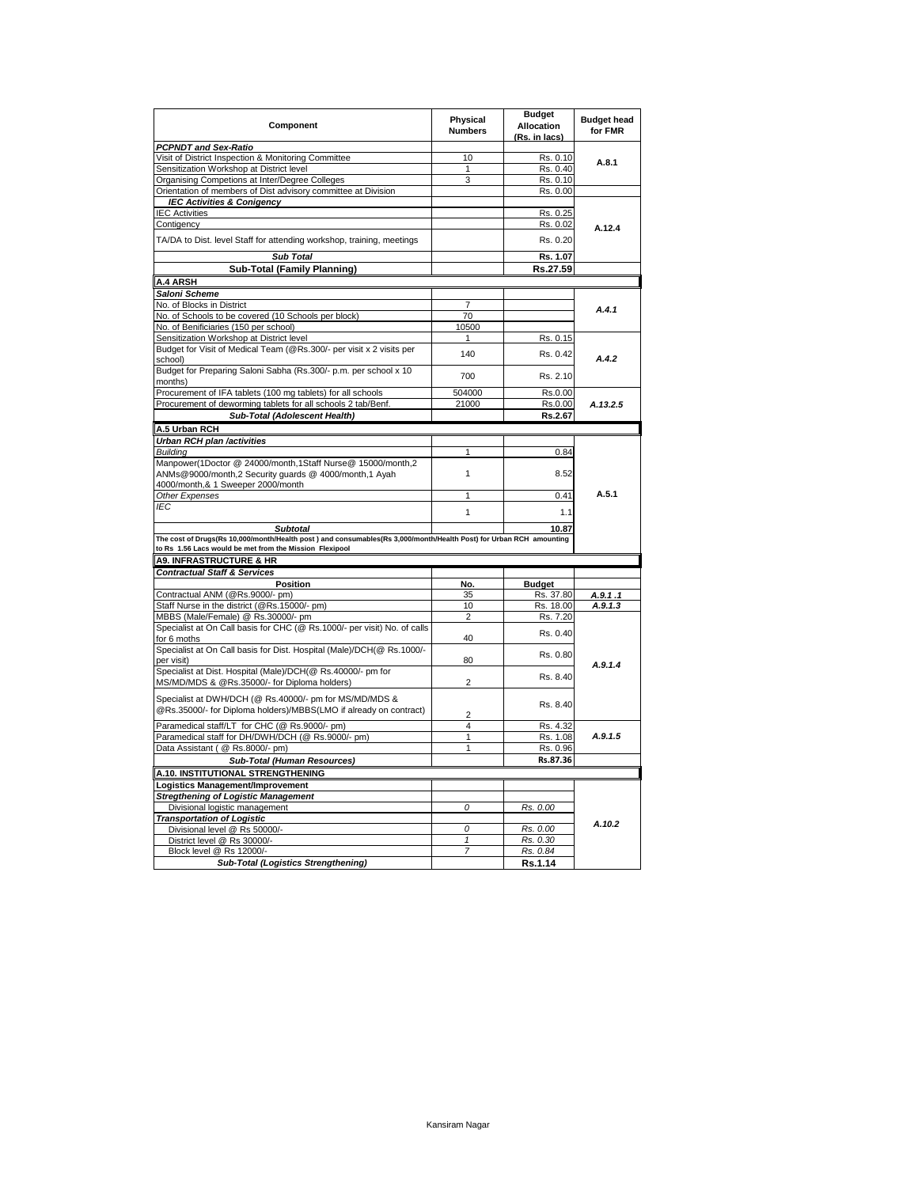| Component                                                                                                                                                                     | Physical<br><b>Numbers</b> | <b>Budget</b><br><b>Allocation</b><br>(Rs. in lacs) | <b>Budget head</b><br>for FMR |
|-------------------------------------------------------------------------------------------------------------------------------------------------------------------------------|----------------------------|-----------------------------------------------------|-------------------------------|
| <b>PCPNDT and Sex-Ratio</b>                                                                                                                                                   |                            |                                                     |                               |
| Visit of District Inspection & Monitoring Committee                                                                                                                           | 10                         | Rs. 0.10                                            | A.8.1                         |
| Sensitization Workshop at District level                                                                                                                                      | 1                          | Rs. 0.40                                            |                               |
| Organising Competions at Inter/Degree Colleges                                                                                                                                | 3                          | Rs. 0.10                                            |                               |
| Orientation of members of Dist advisory committee at Division                                                                                                                 |                            | Rs. 0.00                                            |                               |
| <b>IEC Activities &amp; Conigency</b>                                                                                                                                         |                            |                                                     |                               |
| <b>IEC Activities</b>                                                                                                                                                         |                            | Rs. 0.25                                            |                               |
| Contigency                                                                                                                                                                    |                            | Rs. 0.02                                            | A.12.4                        |
| TA/DA to Dist. level Staff for attending workshop, training, meetings                                                                                                         |                            | Rs. 0.20                                            |                               |
| <b>Sub Total</b>                                                                                                                                                              |                            | Rs. 1.07                                            |                               |
| <b>Sub-Total (Family Planning)</b>                                                                                                                                            |                            | Rs.27.59                                            |                               |
| <b>A.4 ARSH</b>                                                                                                                                                               |                            |                                                     |                               |
| Saloni Scheme                                                                                                                                                                 |                            |                                                     |                               |
| No. of Blocks in District                                                                                                                                                     | 7                          |                                                     |                               |
| No. of Schools to be covered (10 Schools per block)                                                                                                                           | 70                         |                                                     | A.4.1                         |
| No. of Benificiaries (150 per school)                                                                                                                                         | 10500                      |                                                     |                               |
| Sensitization Workshop at District level                                                                                                                                      | 1                          | Rs. 0.15                                            |                               |
| Budget for Visit of Medical Team (@Rs.300/- per visit x 2 visits per                                                                                                          | 140                        | Rs. 0.42                                            | A.4.2                         |
| school)<br>Budget for Preparing Saloni Sabha (Rs.300/- p.m. per school x 10<br>months)                                                                                        | 700                        | Rs. 2.10                                            |                               |
|                                                                                                                                                                               | 504000                     | Rs.0.00                                             |                               |
| Procurement of IFA tablets (100 mg tablets) for all schools<br>Procurement of deworming tablets for all schools 2 tab/Benf.                                                   | 21000                      | Rs.0.00                                             | A.13.2.5                      |
|                                                                                                                                                                               |                            |                                                     |                               |
| Sub-Total (Adolescent Health)                                                                                                                                                 |                            | Rs.2.67                                             |                               |
| A.5 Urban RCH                                                                                                                                                                 |                            |                                                     |                               |
| Urban RCH plan /activities                                                                                                                                                    |                            |                                                     |                               |
| <b>Building</b>                                                                                                                                                               | 1                          | 0.84                                                |                               |
| Manpower(1Doctor @ 24000/month,1Staff Nurse@ 15000/month,2<br>ANMs@9000/month,2 Security quards @ 4000/month,1 Ayah<br>4000/month,& 1 Sweeper 2000/month                      | 1                          | 8.52                                                |                               |
| Other Expenses                                                                                                                                                                | $\overline{1}$             | 0.41                                                | A.5.1                         |
| <b>IEC</b>                                                                                                                                                                    |                            |                                                     |                               |
|                                                                                                                                                                               | 1                          | 1.1                                                 |                               |
| <b>Subtotal</b>                                                                                                                                                               |                            | 10.87                                               |                               |
| The cost of Drugs(Rs 10,000/month/Health post) and consumables(Rs 3,000/month/Health Post) for Urban RCH amounting<br>to Rs 1.56 Lacs would be met from the Mission Flexipool |                            |                                                     |                               |
| <b>A9. INFRASTRUCTURE &amp; HR</b>                                                                                                                                            |                            |                                                     |                               |
| <b>Contractual Staff &amp; Services</b>                                                                                                                                       |                            |                                                     |                               |
| <b>Position</b>                                                                                                                                                               | No.                        | <b>Budget</b>                                       |                               |
| Contractual ANM (@Rs.9000/- pm)                                                                                                                                               | 35                         | Rs. 37.80                                           | A.9.1.1                       |
| Staff Nurse in the district (@Rs.15000/- pm)                                                                                                                                  | 10                         | Rs. 18.00                                           | A.9.1.3                       |
| MBBS (Male/Female) @ Rs.30000/- pm                                                                                                                                            | $\overline{2}$             | Rs. 7.20                                            |                               |
| Specialist at On Call basis for CHC (@ Rs.1000/- per visit) No. of calls<br>for 6 moths                                                                                       | 40                         | Rs. 0.40                                            |                               |
| Specialist at On Call basis for Dist. Hospital (Male)/DCH(@ Rs.1000/-                                                                                                         |                            |                                                     |                               |
| per visit)                                                                                                                                                                    | 80                         | Rs. 0.80                                            | A.9.1.4                       |
| Specialist at Dist. Hospital (Male)/DCH(@ Rs.40000/- pm for<br>MS/MD/MDS & @Rs.35000/- for Diploma holders)                                                                   | 2                          | Rs. 8.40                                            |                               |
| Specialist at DWH/DCH (@ Rs.40000/- pm for MS/MD/MDS &                                                                                                                        |                            |                                                     |                               |
| @Rs.35000/- for Diploma holders)/MBBS(LMO if already on contract)                                                                                                             | $\overline{2}$             | Rs. 8.40                                            |                               |
| Paramedical staff/LT for CHC (@ Rs.9000/- pm)                                                                                                                                 | $\overline{4}$             | Rs. 4.32                                            |                               |
| Paramedical staff for DH/DWH/DCH (@ Rs.9000/- pm)                                                                                                                             | $\overline{1}$             | Rs. 1.08                                            | A.9.1.5                       |
| Data Assistant ( @ Rs.8000/- pm)                                                                                                                                              | 1                          | Rs. 0.96                                            |                               |
| Sub-Total (Human Resources)                                                                                                                                                   |                            | Rs.87.36                                            |                               |
| A.10. INSTITUTIONAL STRENGTHENING                                                                                                                                             |                            |                                                     |                               |
| Logistics Management/Improvement                                                                                                                                              |                            |                                                     |                               |
|                                                                                                                                                                               |                            |                                                     |                               |
| <b>Stregthening of Logistic Management</b>                                                                                                                                    | $\overline{o}$             |                                                     |                               |
| Divisional logistic management                                                                                                                                                |                            | Rs. 0.00                                            |                               |
| <b>Transportation of Logistic</b>                                                                                                                                             |                            |                                                     | A.10.2                        |
| Divisional level @ Rs 50000/-                                                                                                                                                 | 0                          | Rs. 0.00                                            |                               |
| District level @ Rs 30000/-                                                                                                                                                   | $\mathbf{1}$               | Rs. 0.30                                            |                               |
| Block level @ Rs 12000/-                                                                                                                                                      | 7                          | Rs. 0.84                                            |                               |
| Sub-Total (Logistics Strengthening)                                                                                                                                           |                            | Rs.1.14                                             |                               |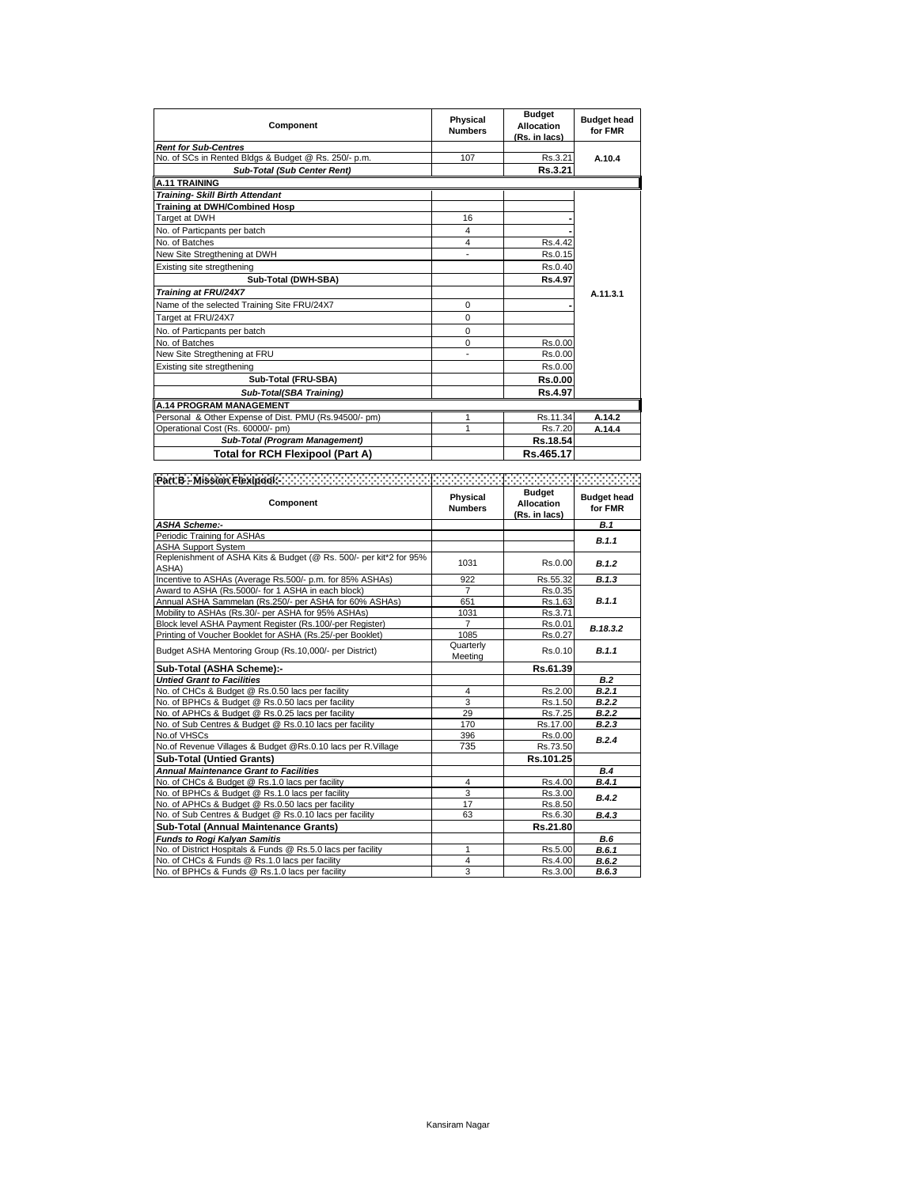| Component                                             | Physical<br><b>Numbers</b> | <b>Budget</b><br>Allocation<br>(Rs. in lacs) | <b>Budget head</b><br>for FMR |
|-------------------------------------------------------|----------------------------|----------------------------------------------|-------------------------------|
| <b>Rent for Sub-Centres</b>                           |                            |                                              |                               |
| No. of SCs in Rented Bldgs & Budget @ Rs. 250/- p.m.  | 107                        | Rs.3.21                                      | A.10.4                        |
| <b>Sub-Total (Sub Center Rent)</b>                    |                            | Rs.3.21                                      |                               |
| A.11 TRAINING                                         |                            |                                              |                               |
| <b>Training- Skill Birth Attendant</b>                |                            |                                              |                               |
| Training at DWH/Combined Hosp                         |                            |                                              |                               |
| Target at DWH                                         | 16                         |                                              |                               |
| No. of Particpants per batch                          | 4                          |                                              |                               |
| No. of Batches                                        | 4                          | Rs.4.42                                      |                               |
| New Site Stregthening at DWH                          | ٠                          | Rs.0.15                                      |                               |
| Existing site stregthening                            |                            | Rs.0.40                                      |                               |
| Sub-Total (DWH-SBA)                                   |                            | Rs.4.97                                      |                               |
| Training at FRU/24X7                                  |                            |                                              | A.11.3.1                      |
| Name of the selected Training Site FRU/24X7           | $\Omega$                   |                                              |                               |
| Target at FRU/24X7                                    | $\Omega$                   |                                              |                               |
| No. of Particpants per batch                          | $\Omega$                   |                                              |                               |
| No. of Batches                                        | 0                          | Rs.0.00                                      |                               |
| New Site Stregthening at FRU                          | ٠                          | Rs.0.00                                      |                               |
| Existing site stregthening                            |                            | Rs.0.00                                      |                               |
| Sub-Total (FRU-SBA)                                   |                            | <b>Rs.0.00</b>                               |                               |
| Sub-Total(SBA Training)                               |                            | <b>Rs.4.97</b>                               |                               |
| <b>A.14 PROGRAM MANAGEMENT</b>                        |                            |                                              |                               |
| Personal & Other Expense of Dist. PMU (Rs.94500/- pm) | 1                          | Rs.11.34                                     | A.14.2                        |
| Operational Cost (Rs. 60000/- pm)                     | 1                          | Rs.7.20                                      | A.14.4                        |
| Sub-Total (Program Management)                        |                            | Rs.18.54                                     |                               |
| <b>Total for RCH Flexipool (Part A)</b>               |                            | Rs.465.17                                    |                               |

| Part B. Mission Flexipool: New York Contract Contract Contract Contract Contract Contract Contract Contract Co |                            |                                                     |                               |
|----------------------------------------------------------------------------------------------------------------|----------------------------|-----------------------------------------------------|-------------------------------|
| Component                                                                                                      | Physical<br><b>Numbers</b> | <b>Budget</b><br><b>Allocation</b><br>(Rs. in lacs) | <b>Budget head</b><br>for FMR |
| <b>ASHA Scheme --</b>                                                                                          |                            |                                                     | B.1                           |
| Periodic Training for ASHAs                                                                                    |                            |                                                     | B.1.1                         |
| <b>ASHA Support System</b>                                                                                     |                            |                                                     |                               |
| Replenishment of ASHA Kits & Budget (@ Rs. 500/- per kit*2 for 95%<br>ASHA)                                    | 1031                       | Rs.0.00                                             | B.1.2                         |
| Incentive to ASHAs (Average Rs.500/- p.m. for 85% ASHAs)                                                       | 922                        | Rs.55.32                                            | B.1.3                         |
| Award to ASHA (Rs.5000/- for 1 ASHA in each block)                                                             | $\overline{7}$             | Rs.0.35                                             |                               |
| Annual ASHA Sammelan (Rs.250/- per ASHA for 60% ASHAs)                                                         | 651                        | Rs.1.63                                             | B.1.1                         |
| Mobility to ASHAs (Rs.30/- per ASHA for 95% ASHAs)                                                             | 1031                       | Rs.3.71                                             |                               |
| Block level ASHA Payment Register (Rs.100/-per Register)                                                       | $\overline{7}$             | Rs.0.01                                             | B.18.3.2                      |
| Printing of Voucher Booklet for ASHA (Rs.25/-per Booklet)                                                      | 1085                       | Rs.0.27                                             |                               |
| Budget ASHA Mentoring Group (Rs.10,000/- per District)                                                         | Quarterly<br>Meeting       | Rs.0.10                                             | B.1.1                         |
| Sub-Total (ASHA Scheme):-                                                                                      |                            | Rs.61.39                                            |                               |
| <b>Untied Grant to Facilities</b>                                                                              |                            |                                                     | B.2                           |
| No. of CHCs & Budget @ Rs.0.50 lacs per facility                                                               | 4                          | Rs.2.00                                             | B.2.1                         |
| No. of BPHCs & Budget @ Rs.0.50 lacs per facility                                                              | 3                          | Rs.1.50                                             | B.2.2                         |
| No. of APHCs & Budget @ Rs.0.25 lacs per facility                                                              | 29                         | Rs.7.25                                             | B.2.2                         |
| No. of Sub Centres & Budget @ Rs.0.10 lacs per facility                                                        | 170                        | Rs.17.00                                            | B.2.3                         |
| No.of VHSCs                                                                                                    | 396                        | Rs.0.00                                             | B.2.4                         |
| No.of Revenue Villages & Budget @Rs.0.10 lacs per R.Village                                                    | 735                        | Rs.73.50                                            |                               |
| <b>Sub-Total (Untied Grants)</b>                                                                               |                            | Rs.101.25                                           |                               |
| <b>Annual Maintenance Grant to Facilities</b>                                                                  |                            |                                                     | B.4                           |
| No. of CHCs & Budget @ Rs.1.0 lacs per facility                                                                | 4                          | Rs.4.00                                             | B.4.1                         |
| No. of BPHCs & Budget @ Rs.1.0 lacs per facility                                                               | 3                          | Rs.3.00                                             | B.4.2                         |
| No. of APHCs & Budget @ Rs.0.50 lacs per facility                                                              | 17                         | Rs.8.50                                             |                               |
| No. of Sub Centres & Budget @ Rs.0.10 lacs per facility                                                        | 63                         | Rs.6.30                                             | B.4.3                         |
| Sub-Total (Annual Maintenance Grants)                                                                          |                            | Rs.21.80                                            |                               |
| <b>Funds to Rogi Kalyan Samitis</b>                                                                            |                            |                                                     | <b>B.6</b>                    |
| No. of District Hospitals & Funds @ Rs.5.0 lacs per facility                                                   | 1                          | Rs.5.00                                             | B.6.1                         |
| No. of CHCs & Funds @ Rs.1.0 lacs per facility                                                                 | 4                          | Rs.4.00                                             | B.6.2                         |
| No. of BPHCs & Funds @ Rs.1.0 lacs per facility                                                                | 3                          | Rs.3.00                                             | B.6.3                         |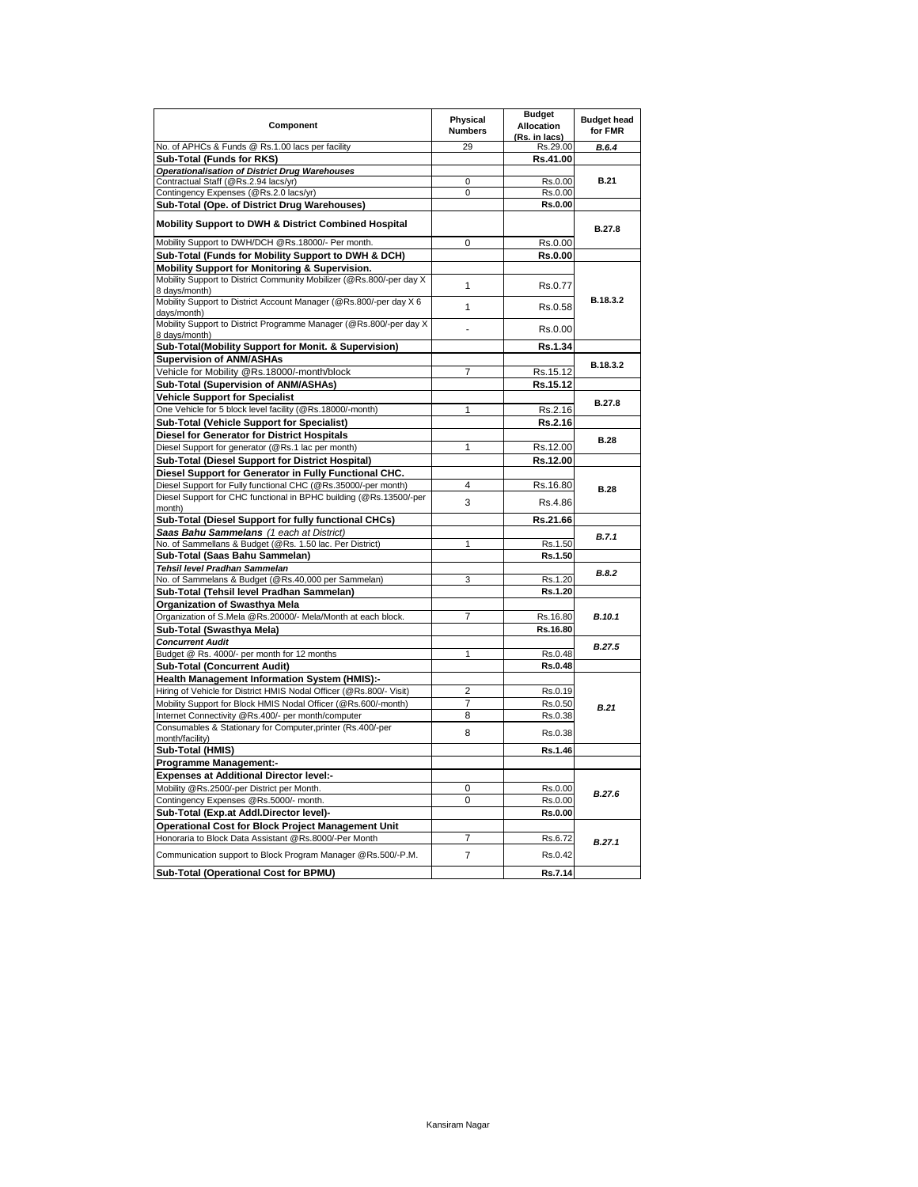| Component                                                                                                | Physical<br><b>Numbers</b> | <b>Budget</b><br><b>Allocation</b><br>(Rs. in lacs) | <b>Budget head</b><br>for FMR |
|----------------------------------------------------------------------------------------------------------|----------------------------|-----------------------------------------------------|-------------------------------|
| No. of APHCs & Funds @ Rs.1.00 lacs per facility                                                         | 29                         | Rs.29.00                                            | B.6.4                         |
| Sub-Total (Funds for RKS)                                                                                |                            | Rs.41.00                                            |                               |
| <b>Operationalisation of District Drug Warehouses</b>                                                    |                            |                                                     |                               |
| Contractual Staff (@Rs.2.94 lacs/yr)                                                                     | 0                          | Rs.0.00                                             | <b>B.21</b>                   |
| Contingency Expenses (@Rs.2.0 lacs/yr)                                                                   | 0                          | Rs.0.00                                             |                               |
| Sub-Total (Ope. of District Drug Warehouses)                                                             |                            | Rs.0.00                                             |                               |
| Mobility Support to DWH & District Combined Hospital                                                     |                            |                                                     | <b>B.27.8</b>                 |
| Mobility Support to DWH/DCH @Rs.18000/- Per month.                                                       | $\mathbf 0$                | Rs.0.00                                             |                               |
| Sub-Total (Funds for Mobility Support to DWH & DCH)                                                      |                            | Rs.0.00                                             |                               |
| Mobility Support for Monitoring & Supervision.                                                           |                            |                                                     |                               |
| Mobility Support to District Community Mobilizer (@Rs.800/-per day X<br>8 days/month)                    | 1                          | Rs.0.77                                             |                               |
| Mobility Support to District Account Manager (@Rs.800/-per day X 6<br>davs/month)                        | 1                          | Rs.0.58                                             | B.18.3.2                      |
| Mobility Support to District Programme Manager (@Rs.800/-per day X<br>8 days/month)                      | $\overline{a}$             | Rs.0.00                                             |                               |
| Sub-Total(Mobility Support for Monit. & Supervision)                                                     |                            | Rs.1.34                                             |                               |
| <b>Supervision of ANM/ASHAs</b>                                                                          |                            |                                                     |                               |
| Vehicle for Mobility @Rs.18000/-month/block                                                              | $\overline{7}$             | Rs.15.12                                            | B.18.3.2                      |
| Sub-Total (Supervision of ANM/ASHAs)                                                                     |                            | Rs.15.12                                            |                               |
| <b>Vehicle Support for Specialist</b>                                                                    |                            |                                                     |                               |
| One Vehicle for 5 block level facility (@Rs.18000/-month)                                                | 1                          | Rs.2.16                                             | <b>B.27.8</b>                 |
| Sub-Total (Vehicle Support for Specialist)                                                               |                            | Rs.2.16                                             |                               |
|                                                                                                          |                            |                                                     |                               |
| <b>Diesel for Generator for District Hospitals</b><br>Diesel Support for generator (@Rs.1 lac per month) | 1                          | Rs.12.00                                            | <b>B.28</b>                   |
|                                                                                                          |                            |                                                     |                               |
| Sub-Total (Diesel Support for District Hospital)                                                         |                            | Rs.12.00                                            |                               |
| Diesel Support for Generator in Fully Functional CHC.                                                    |                            |                                                     |                               |
| Diesel Support for Fully functional CHC (@Rs.35000/-per month)                                           | $\overline{4}$             | Rs.16.80                                            | <b>B.28</b>                   |
| Diesel Support for CHC functional in BPHC building (@Rs.13500/-per<br>month)                             | 3                          | Rs.4.86                                             |                               |
| Sub-Total (Diesel Support for fully functional CHCs)                                                     |                            | Rs.21.66                                            |                               |
| Saas Bahu Sammelans (1 each at District)                                                                 |                            |                                                     |                               |
| No. of Sammellans & Budget (@Rs. 1.50 lac. Per District)                                                 | 1                          | Rs.1.50                                             | B.7.1                         |
| Sub-Total (Saas Bahu Sammelan)                                                                           |                            | Rs.1.50                                             |                               |
| Tehsil level Pradhan Sammelan                                                                            |                            |                                                     |                               |
| No. of Sammelans & Budget (@Rs.40,000 per Sammelan)                                                      | 3                          | Rs.1.20                                             | B.8.2                         |
| Sub-Total (Tehsil level Pradhan Sammelan)                                                                |                            | Rs.1.20                                             |                               |
| Organization of Swasthya Mela                                                                            |                            |                                                     |                               |
| Organization of S.Mela @Rs.20000/- Mela/Month at each block.                                             | $\overline{7}$             | Rs.16.80                                            | B.10.1                        |
| Sub-Total (Swasthya Mela)                                                                                |                            | Rs.16.80                                            |                               |
| <b>Concurrent Audit</b>                                                                                  |                            |                                                     |                               |
| Budget @ Rs. 4000/- per month for 12 months                                                              | 1                          | Rs.0.48                                             | B.27.5                        |
| <b>Sub-Total (Concurrent Audit)</b>                                                                      |                            | Rs.0.48                                             |                               |
| Health Management Information System (HMIS):-                                                            |                            |                                                     |                               |
| Hiring of Vehicle for District HMIS Nodal Officer (@Rs.800/- Visit)                                      | $\overline{2}$             | Rs.0.19                                             |                               |
| Mobility Support for Block HMIS Nodal Officer (@Rs.600/-month)                                           | 7                          | Rs.0.50                                             |                               |
| Internet Connectivity @Rs.400/- per month/computer                                                       | 8                          | Rs.0.38                                             | B.21                          |
| Consumables & Stationary for Computer, printer (Rs.400/-per                                              |                            |                                                     |                               |
| month/facility)                                                                                          | 8                          | Rs.0.38                                             |                               |
| Sub-Total (HMIS)                                                                                         |                            | Rs.1.46                                             |                               |
| <b>Programme Management:-</b>                                                                            |                            |                                                     |                               |
| <b>Expenses at Additional Director level:-</b>                                                           |                            |                                                     |                               |
| Mobility @Rs.2500/-per District per Month.                                                               | 0                          | Rs.0.00                                             |                               |
| Contingency Expenses @Rs.5000/- month.                                                                   | 0                          | Rs.0.00                                             | B.27.6                        |
| Sub-Total (Exp.at Addl.Director level)-                                                                  |                            | Rs.0.00                                             |                               |
| <b>Operational Cost for Block Project Management Unit</b>                                                |                            |                                                     |                               |
| Honoraria to Block Data Assistant @Rs.8000/-Per Month                                                    | 7                          | Rs.6.72                                             |                               |
| Communication support to Block Program Manager @Rs.500/-P.M.                                             | $\overline{7}$             | Rs.0.42                                             | B.27.1                        |
| Sub-Total (Operational Cost for BPMU)                                                                    |                            | Rs.7.14                                             |                               |
|                                                                                                          |                            |                                                     |                               |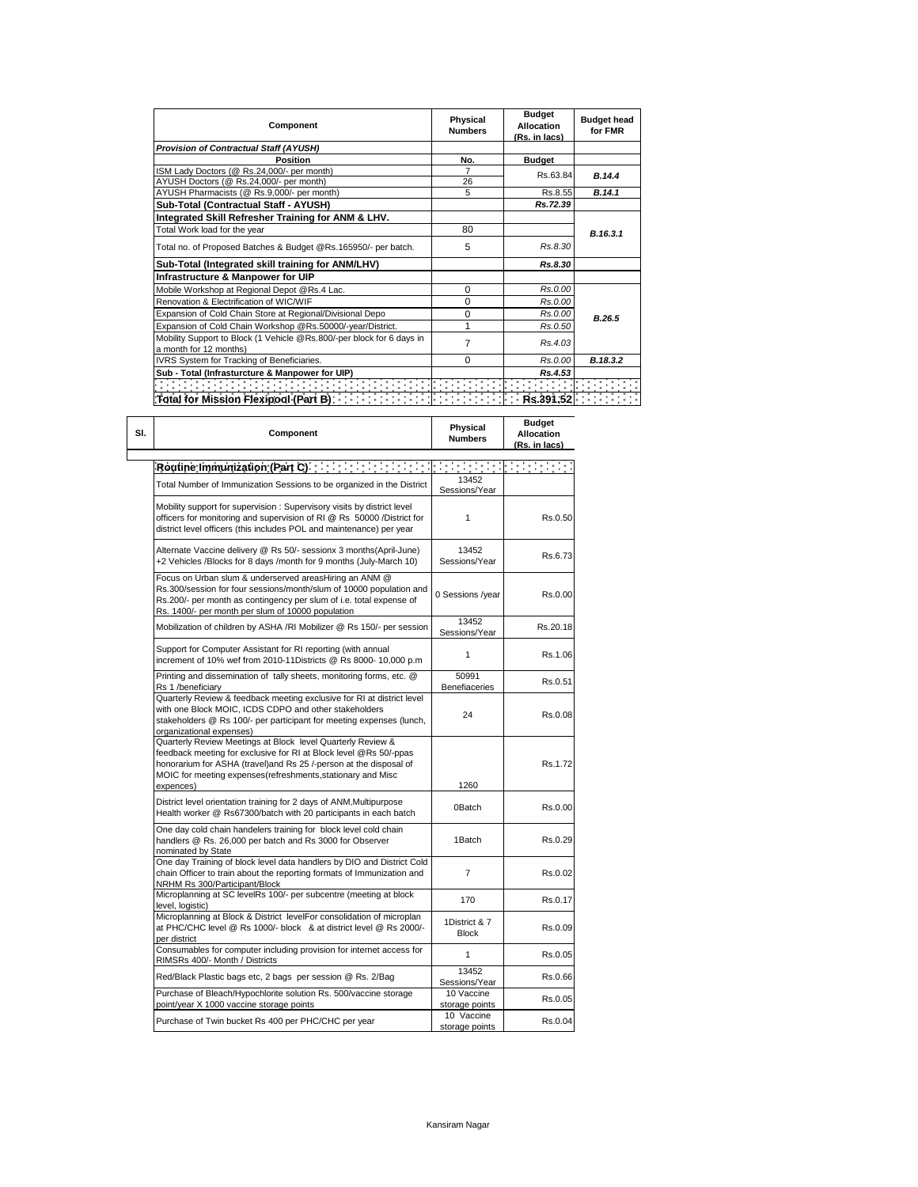| Component                                                             | Physical<br><b>Numbers</b> | <b>Budget</b><br><b>Allocation</b><br>(Rs. in lacs) | <b>Budget head</b><br>for FMR |  |
|-----------------------------------------------------------------------|----------------------------|-----------------------------------------------------|-------------------------------|--|
| <b>Provision of Contractual Staff (AYUSH)</b>                         |                            |                                                     |                               |  |
| <b>Position</b>                                                       | No.                        | <b>Budget</b>                                       |                               |  |
| ISM Lady Doctors (@ Rs.24,000/- per month)                            |                            | Rs.63.84                                            | B.14.4                        |  |
| AYUSH Doctors (@ Rs.24,000/- per month)                               | 26                         |                                                     |                               |  |
| AYUSH Pharmacists (@ Rs.9,000/- per month)                            | 5                          | Rs.8.55                                             | B.14.1                        |  |
| Sub-Total (Contractual Staff - AYUSH)                                 |                            | Rs.72.39                                            |                               |  |
| Integrated Skill Refresher Training for ANM & LHV.                    |                            |                                                     |                               |  |
| Total Work load for the year                                          | 80                         |                                                     | B.16.3.1                      |  |
| Total no. of Proposed Batches & Budget @Rs.165950/- per batch.        | 5                          | Rs.8.30                                             |                               |  |
| Sub-Total (Integrated skill training for ANM/LHV)                     |                            | Rs.8.30                                             |                               |  |
| Infrastructure & Manpower for UIP                                     |                            |                                                     |                               |  |
| Mobile Workshop at Regional Depot @Rs.4 Lac.                          | 0                          | Rs.0.00                                             |                               |  |
| Renovation & Electrification of WIC/WIF                               | 0                          | Rs.0.00                                             |                               |  |
| Expansion of Cold Chain Store at Regional/Divisional Depo             | 0                          | Rs.0.00                                             | B.26.5                        |  |
| Expansion of Cold Chain Workshop @Rs.50000/-year/District.            | 1                          | Rs.0.50                                             |                               |  |
| Mobility Support to Block (1 Vehicle @Rs.800/-per block for 6 days in | 7                          | Rs.4.03                                             |                               |  |
| a month for 12 months)                                                |                            |                                                     |                               |  |
| IVRS System for Tracking of Beneficiaries.                            | 0                          | Rs.0.00                                             | B.18.3.2                      |  |
| Sub - Total (Infrasturcture & Manpower for UIP)                       |                            | Rs.4.53                                             |                               |  |
|                                                                       |                            |                                                     |                               |  |
|                                                                       |                            |                                                     |                               |  |

| SI. | Component                                                                                                                                                                                                                                                                         | Physical<br><b>Numbers</b>                | <b>Budget</b><br><b>Allocation</b><br>(Rs. in lacs) |
|-----|-----------------------------------------------------------------------------------------------------------------------------------------------------------------------------------------------------------------------------------------------------------------------------------|-------------------------------------------|-----------------------------------------------------|
|     |                                                                                                                                                                                                                                                                                   |                                           |                                                     |
|     | Total Number of Immunization Sessions to be organized in the District                                                                                                                                                                                                             | 13452<br>Sessions/Year                    |                                                     |
|     | Mobility support for supervision : Supervisory visits by district level<br>officers for monitoring and supervision of RI @ Rs 50000 /District for<br>district level officers (this includes POL and maintenance) per year                                                         | $\mathbf{1}$                              | Rs.0.50                                             |
|     | Alternate Vaccine delivery @ Rs 50/- sessionx 3 months(April-June)<br>+2 Vehicles /Blocks for 8 days /month for 9 months (July-March 10)                                                                                                                                          | 13452<br>Sessions/Year                    | Rs.6.73                                             |
|     | Focus on Urban slum & underserved areasHiring an ANM @<br>Rs.300/session for four sessions/month/slum of 10000 population and<br>Rs.200/- per month as contingency per slum of i.e. total expense of<br>Rs. 1400/- per month per slum of 10000 population                         | 0 Sessions /year                          | Rs.0.00                                             |
|     | Mobilization of children by ASHA /RI Mobilizer @ Rs 150/- per session                                                                                                                                                                                                             | 13452<br>Sessions/Year                    | Rs.20.18                                            |
|     | Support for Computer Assistant for RI reporting (with annual<br>increment of 10% wef from 2010-11Districts @ Rs 8000- 10,000 p.m                                                                                                                                                  | $\mathbf{1}$                              | Rs.1.06                                             |
|     | Printing and dissemination of tally sheets, monitoring forms, etc. @<br>Rs 1 /beneficiary                                                                                                                                                                                         | 50991<br>Benefiaceries                    | Rs.0.51                                             |
|     | Quarterly Review & feedback meeting exclusive for RI at district level<br>with one Block MOIC, ICDS CDPO and other stakeholders<br>stakeholders @ Rs 100/- per participant for meeting expenses (lunch,<br>organizational expenses)                                               | 24                                        | Rs.0.08                                             |
|     | Quarterly Review Meetings at Block level Quarterly Review &<br>feedback meeting for exclusive for RI at Block level @Rs 50/-ppas<br>honorarium for ASHA (travel)and Rs 25 /-person at the disposal of<br>MOIC for meeting expenses(refreshments, stationary and Misc<br>expences) | 1260                                      | Rs.1.72                                             |
|     | District level orientation training for 2 days of ANM, Multipurpose<br>Health worker @ Rs67300/batch with 20 participants in each batch                                                                                                                                           | 0Batch                                    | Rs.0.00                                             |
|     | One day cold chain handelers training for block level cold chain<br>handlers @ Rs. 26,000 per batch and Rs 3000 for Observer<br>nominated by State                                                                                                                                | 1Batch                                    | Rs.0.29                                             |
|     | One day Training of block level data handlers by DIO and District Cold<br>chain Officer to train about the reporting formats of Immunization and<br>NRHM Rs 300/Participant/Block                                                                                                 | $\overline{7}$                            | Rs.0.02                                             |
|     | Microplanning at SC levelRs 100/- per subcentre (meeting at block<br>level, logistic)                                                                                                                                                                                             | 170                                       | Rs.0.17                                             |
|     | Microplanning at Block & District levelFor consolidation of microplan<br>at PHC/CHC level @ Rs 1000/- block & at district level @ Rs 2000/-<br>per district                                                                                                                       | 1District & 7<br><b>Block</b>             | Rs.0.09                                             |
|     | Consumables for computer including provision for internet access for<br>RIMSRs 400/- Month / Districts                                                                                                                                                                            | 1                                         | Rs.0.05                                             |
|     | Red/Black Plastic bags etc, 2 bags per session @ Rs. 2/Bag                                                                                                                                                                                                                        | 13452<br>Sessions/Year                    | Rs.0.66                                             |
|     | Purchase of Bleach/Hypochlorite solution Rs. 500/vaccine storage<br>point/year X 1000 vaccine storage points                                                                                                                                                                      | 10 Vaccine<br>storage points              | Rs.0.05                                             |
|     | Purchase of Twin bucket Rs 400 per PHC/CHC per year                                                                                                                                                                                                                               | $\overline{10}$ Vaccine<br>storage points | Rs.0.04                                             |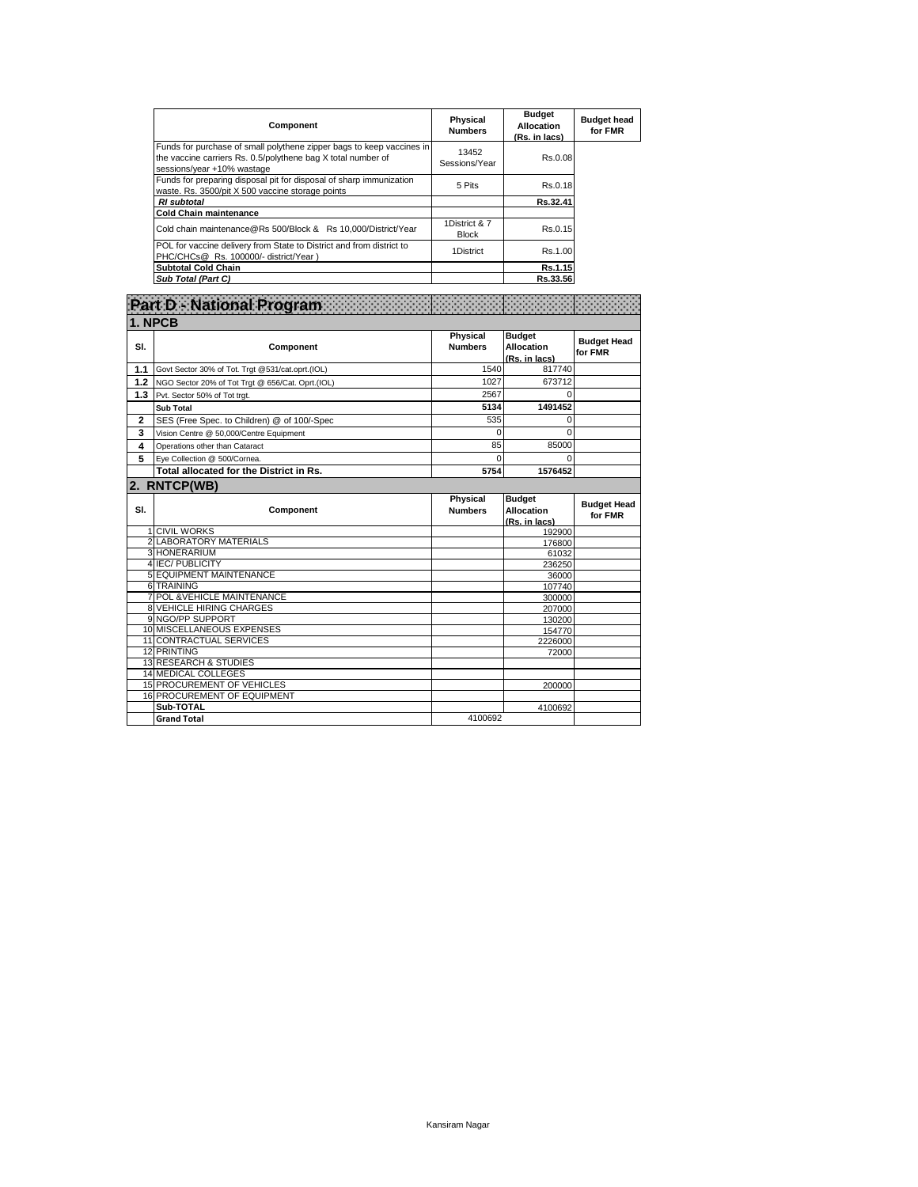| Component                                                                                                                                                           | Physical<br><b>Numbers</b>    | <b>Budget</b><br>Allocation<br>(Rs. in lacs) | <b>Budget head</b><br>for FMR |
|---------------------------------------------------------------------------------------------------------------------------------------------------------------------|-------------------------------|----------------------------------------------|-------------------------------|
| Funds for purchase of small polythene zipper bags to keep vaccines in<br>the vaccine carriers Rs. 0.5/polythene bag X total number of<br>sessions/year +10% wastage | 13452<br>Sessions/Year        | Rs.0.08                                      |                               |
| Funds for preparing disposal pit for disposal of sharp immunization<br>waste. Rs. 3500/pit X 500 vaccine storage points                                             | 5 Pits                        | Rs.0.18                                      |                               |
| <b>RI</b> subtotal                                                                                                                                                  |                               | Rs.32.41                                     |                               |
| <b>Cold Chain maintenance</b>                                                                                                                                       |                               |                                              |                               |
| Cold chain maintenance@Rs 500/Block & Rs 10.000/District/Year                                                                                                       | 1District & 7<br><b>Block</b> | Rs.0.15                                      |                               |
| POL for vaccine delivery from State to District and from district to<br>PHC/CHCs@ Rs. 100000/- district/Year)                                                       | 1District                     | Rs.1.00                                      |                               |
| <b>Subtotal Cold Chain</b>                                                                                                                                          |                               | Rs.1.15                                      |                               |
| Sub Total (Part C)                                                                                                                                                  |                               | Rs.33.56                                     |                               |

| Part D - National Program |                                                  |                            |                                                     |                               |  |  |
|---------------------------|--------------------------------------------------|----------------------------|-----------------------------------------------------|-------------------------------|--|--|
| 1. NPCB                   |                                                  |                            |                                                     |                               |  |  |
| SI.                       | Component                                        | Physical<br><b>Numbers</b> | <b>Budget</b><br><b>Allocation</b><br>(Rs. in lacs) | <b>Budget Head</b><br>for FMR |  |  |
| 1.1                       | Govt Sector 30% of Tot. Trgt @531/cat.oprt.(IOL) | 1540                       | 817740                                              |                               |  |  |
| 1.2                       | NGO Sector 20% of Tot Trgt @ 656/Cat. Oprt.(IOL) | 1027                       | 673712                                              |                               |  |  |
| 1.3                       | Pvt. Sector 50% of Tot trgt.                     | 2567                       | $\Omega$                                            |                               |  |  |
|                           | <b>Sub Total</b>                                 | 5134                       | 1491452                                             |                               |  |  |
| $\overline{2}$            | SES (Free Spec. to Children) @ of 100/-Spec      | 535                        | 0                                                   |                               |  |  |
| 3                         | Vision Centre @ 50.000/Centre Equipment          | $\Omega$                   | $\Omega$                                            |                               |  |  |
| 4                         | Operations other than Cataract                   | 85                         | 85000                                               |                               |  |  |
| 5                         | Eye Collection @ 500/Cornea.                     | $\Omega$                   | $\Omega$                                            |                               |  |  |
|                           | Total allocated for the District in Rs.          | 5754                       | 1576452                                             |                               |  |  |
|                           | 2. RNTCP(WB)                                     |                            |                                                     |                               |  |  |
|                           |                                                  |                            |                                                     |                               |  |  |
| SI.                       | Component                                        | Physical<br><b>Numbers</b> | <b>Budget</b><br><b>Allocation</b>                  | <b>Budget Head</b><br>for FMR |  |  |
|                           |                                                  |                            |                                                     |                               |  |  |
|                           | <b>1 CIVIL WORKS</b>                             |                            | (Rs. in lacs)<br>192900                             |                               |  |  |
|                           | 2 LABORATORY MATERIALS                           |                            | 176800                                              |                               |  |  |
|                           | 3 HONERARIUM                                     |                            | 61032                                               |                               |  |  |
|                           | <b>4 IEC/PUBLICITY</b>                           |                            | 236250                                              |                               |  |  |
|                           | <b>5 EQUIPMENT MAINTENANCE</b>                   |                            | 36000                                               |                               |  |  |
|                           | <b>6 TRAINING</b>                                |                            | 107740                                              |                               |  |  |
|                           | <b>7 POL &amp; VEHICLE MAINTENANCE</b>           |                            | 300000                                              |                               |  |  |
|                           | <b>8 VEHICLE HIRING CHARGES</b>                  |                            | 207000                                              |                               |  |  |
|                           | 9 NGO/PP SUPPORT                                 |                            | 130200                                              |                               |  |  |
|                           | 10 MISCELLANEOUS EXPENSES                        |                            | 154770                                              |                               |  |  |
|                           | 11 CONTRACTUAL SERVICES<br>12 PRINTING           |                            | 2226000<br>72000                                    |                               |  |  |
|                           | <b>13 RESEARCH &amp; STUDIES</b>                 |                            |                                                     |                               |  |  |
|                           | <b>14 MEDICAL COLLEGES</b>                       |                            |                                                     |                               |  |  |
|                           | <b>15 PROCUREMENT OF VEHICLES</b>                |                            | 200000                                              |                               |  |  |
|                           | <b>16 PROCUREMENT OF EQUIPMENT</b>               |                            |                                                     |                               |  |  |
|                           | Sub-TOTAL<br><b>Grand Total</b>                  | 4100692                    | 4100692                                             |                               |  |  |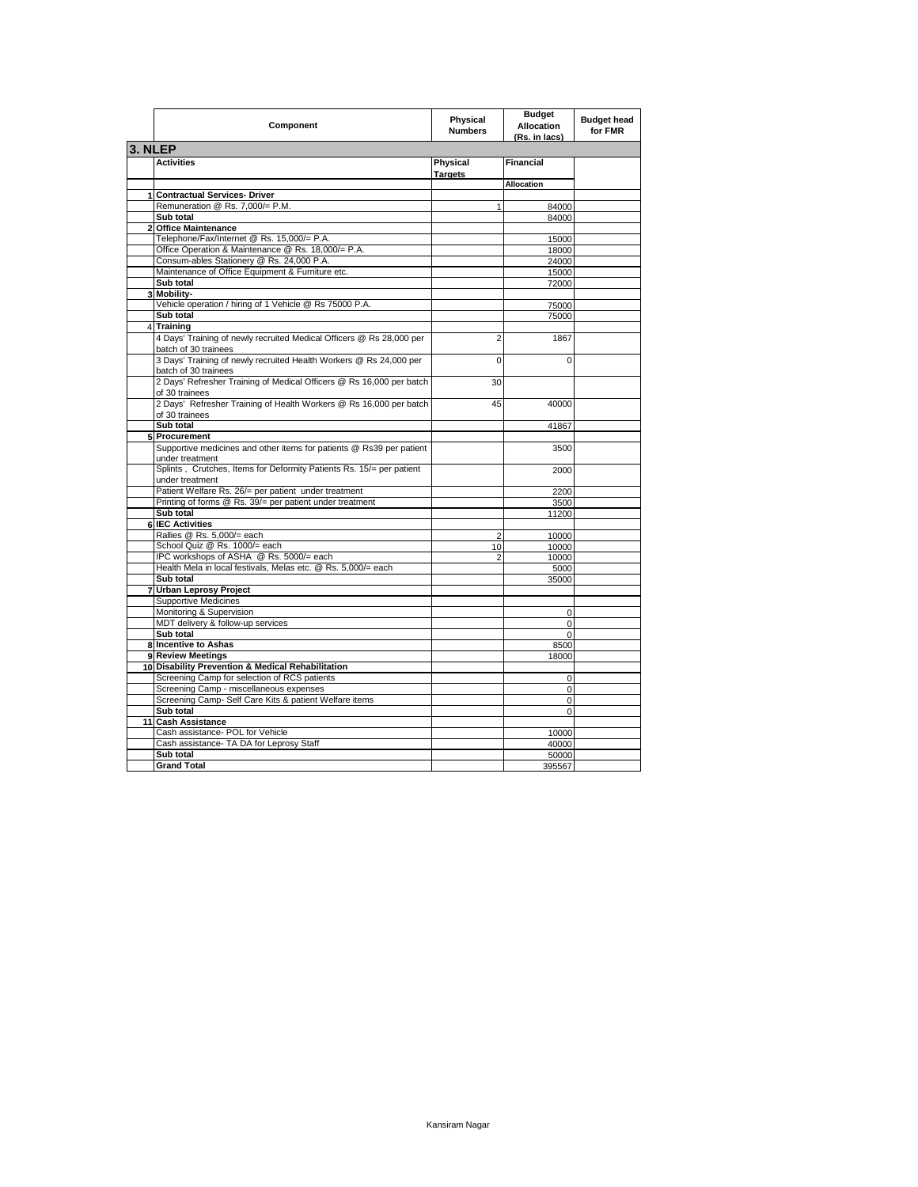|         | Component                                                                                    | Physical<br><b>Numbers</b> | <b>Budget</b><br><b>Allocation</b><br>(Rs. in lacs) | <b>Budget head</b><br>for FMR |  |  |
|---------|----------------------------------------------------------------------------------------------|----------------------------|-----------------------------------------------------|-------------------------------|--|--|
| 3. NLEP |                                                                                              |                            |                                                     |                               |  |  |
|         | <b>Activities</b>                                                                            | Physical<br><b>Targets</b> | <b>Financial</b>                                    |                               |  |  |
|         |                                                                                              |                            | <b>Allocation</b>                                   |                               |  |  |
|         | 1 Contractual Services- Driver                                                               |                            |                                                     |                               |  |  |
|         | Remuneration @ Rs. 7,000/= P.M.                                                              | 1                          | 84000                                               |                               |  |  |
|         | Sub total                                                                                    |                            | 84000                                               |                               |  |  |
|         | 2 Office Maintenance                                                                         |                            |                                                     |                               |  |  |
|         | Telephone/Fax/Internet @ Rs. 15,000/= P.A.                                                   |                            | 15000                                               |                               |  |  |
|         | Office Operation & Maintenance @ Rs. 18,000/= P.A.                                           |                            | 18000                                               |                               |  |  |
|         | Consum-ables Stationery @ Rs. 24,000 P.A.                                                    |                            | 24000                                               |                               |  |  |
|         | Maintenance of Office Equipment & Furniture etc.                                             |                            | 15000                                               |                               |  |  |
|         | Sub total                                                                                    |                            | 72000                                               |                               |  |  |
|         | 3 Mobility-                                                                                  |                            |                                                     |                               |  |  |
|         | Vehicle operation / hiring of 1 Vehicle @ Rs 75000 P.A.                                      |                            | 75000                                               |                               |  |  |
|         | Sub total                                                                                    |                            | 75000                                               |                               |  |  |
|         | 4 Training                                                                                   |                            |                                                     |                               |  |  |
|         | 4 Days' Training of newly recruited Medical Officers @ Rs 28,000 per<br>batch of 30 trainees | $\overline{2}$             | 1867                                                |                               |  |  |
|         | 3 Days' Training of newly recruited Health Workers @ Rs 24,000 per<br>batch of 30 trainees   | $\overline{0}$             | $\mathbf 0$                                         |                               |  |  |
|         | 2 Days' Refresher Training of Medical Officers @ Rs 16,000 per batch<br>of 30 trainees       | 30                         |                                                     |                               |  |  |
|         | 2 Days' Refresher Training of Health Workers @ Rs 16,000 per batch                           | 45                         | 40000                                               |                               |  |  |
|         | of 30 trainees                                                                               |                            |                                                     |                               |  |  |
|         | Sub total                                                                                    |                            | 41867                                               |                               |  |  |
|         | 5 Procurement                                                                                |                            |                                                     |                               |  |  |
|         | Supportive medicines and other items for patients @ Rs39 per patient                         |                            | 3500                                                |                               |  |  |
|         | under treatment                                                                              |                            |                                                     |                               |  |  |
|         | Splints, Crutches, Items for Deformity Patients Rs. 15/= per patient                         |                            | 2000                                                |                               |  |  |
|         | under treatment                                                                              |                            |                                                     |                               |  |  |
|         | Patient Welfare Rs. 26/= per patient under treatment                                         |                            | 2200                                                |                               |  |  |
|         | Printing of forms @ Rs. 39/= per patient under treatment                                     |                            | 3500                                                |                               |  |  |
|         | Sub total                                                                                    |                            | 11200                                               |                               |  |  |
|         | <b>IEC Activities</b>                                                                        |                            |                                                     |                               |  |  |
|         | Rallies @ Rs. 5,000/= each                                                                   | $\overline{2}$             | 10000                                               |                               |  |  |
|         | School Quiz @ Rs. 1000/= each                                                                | 10                         | 10000                                               |                               |  |  |
|         | IPC workshops of ASHA @ Rs. 5000/= each                                                      | $\overline{2}$             | 10000                                               |                               |  |  |
|         | Health Mela in local festivals, Melas etc. @ Rs. 5,000/= each                                |                            | 5000                                                |                               |  |  |
|         | Sub total                                                                                    |                            | 35000                                               |                               |  |  |
|         | 7 Urban Leprosy Project                                                                      |                            |                                                     |                               |  |  |
|         | <b>Supportive Medicines</b>                                                                  |                            |                                                     |                               |  |  |
|         | Monitoring & Supervision                                                                     |                            | $\Omega$                                            |                               |  |  |
|         | MDT delivery & follow-up services                                                            |                            | $\mathbf 0$                                         |                               |  |  |
|         | Sub total                                                                                    |                            | $\mathbf 0$                                         |                               |  |  |
|         | 8 Incentive to Ashas                                                                         |                            | 8500                                                |                               |  |  |
|         | 9 Review Meetings                                                                            |                            | 18000                                               |                               |  |  |
|         | 10 Disability Prevention & Medical Rehabilitation                                            |                            |                                                     |                               |  |  |
|         | Screening Camp for selection of RCS patients                                                 |                            | 0                                                   |                               |  |  |
|         | Screening Camp - miscellaneous expenses                                                      |                            | $\Omega$                                            |                               |  |  |
|         | Screening Camp- Self Care Kits & patient Welfare items                                       |                            | $\mathbf 0$                                         |                               |  |  |
|         | Sub total                                                                                    |                            | $\mathbf 0$                                         |                               |  |  |
|         | 11 Cash Assistance                                                                           |                            |                                                     |                               |  |  |
|         | Cash assistance- POL for Vehicle                                                             |                            | 10000                                               |                               |  |  |
|         | Cash assistance- TA DA for Leprosy Staff                                                     |                            | 40000                                               |                               |  |  |
|         | Sub total                                                                                    |                            | 50000                                               |                               |  |  |
|         | <b>Grand Total</b>                                                                           |                            | 395567                                              |                               |  |  |